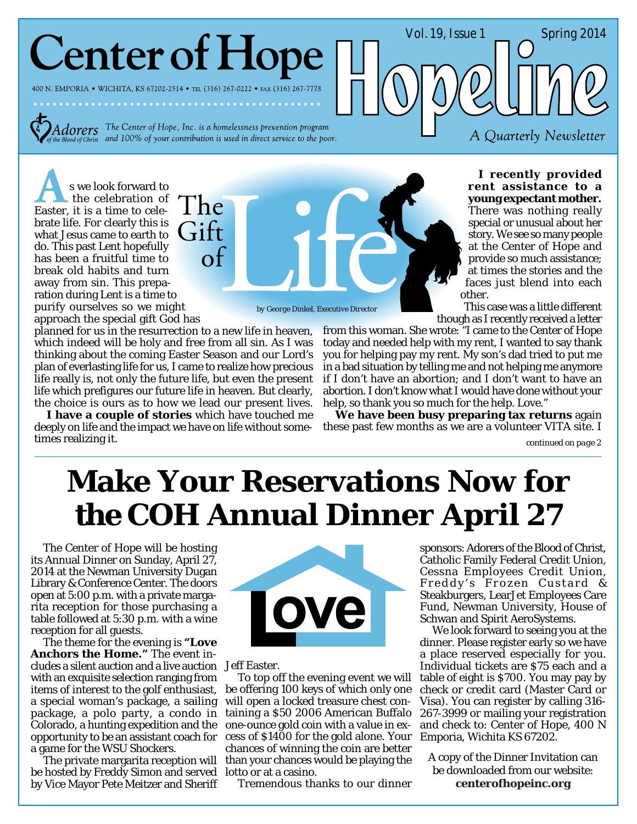# **Center of Hope**

400 N. EMPORIA • WICHITA, KS 67202-2514 • TEL (316) 267-0222 • FAX (316) 267-7778

 $Adorers$  The Center of Hope, Inc. is a homelessness prevention program of  $C$ *i*  $S$  and 100% of your contribution is used in direct service to the poor.

s we look forward to the celebration of Easter, it is a time to celebrate life. For clearly this is what Jesus came to earth to do. This past Lent hopefully has been a fruitful time to break old habits and turn away from sin. This preparation during Lent is a time to purify ourselves so we might approach the special gift God has

planned for us in the resurrection to a new life in heaven, which indeed will be holy and free from all sin. As I was thinking about the coming Easter Season and our Lord's plan of everlasting life for us, I came to realize how precious life really is, not only the future life, but even the present life which prefigures our future life in heaven. But clearly, the choice is ours as to how we lead our present lives.

**I have a couple of stories** which have touched me deeply on life and the impact we have on life without sometimes realizing it.



*by George Dinkel, Executive Director*

**I recently provided rent assistance to a young expectant mother.** There was nothing really special or unusual about her story. We see so many people at the Center of Hope and provide so much assistance; at times the stories and the faces just blend into each other.

A Quarterly Newsletter

Vol. 19, Issue 1 Spring 2014

This case was a little different though as I recently received a letter

from this woman. She wrote: "I came to the Center of Hope today and needed help with my rent, I wanted to say thank you for helping pay my rent. My son's dad tried to put me in a bad situation by telling me and not helping me anymore if I don't have an abortion; and I don't want to have an abortion. I don't know what I would have done without your help, so thank you so much for the help. Love."

**We have been busy preparing tax returns** again these past few months as we are a volunteer VITA site. I

 *continued on page 2*

### **Make Your Reservations Now for the COH Annual Dinner April 27**

The Center of Hope will be hosting its Annual Dinner on Sunday, April 27, 2014 at the Newman University Dugan Library & Conference Center. The doors open at 5:00 p.m. with a private margarita reception for those purchasing a table followed at 5:30 p.m. with a wine reception for all guests.

cludes a silent auction and a live auction Jeff Easter. The theme for the evening is **"Love Anchors the Home."** The event inwith an exquisite selection ranging from items of interest to the golf enthusiast, a special woman's package, a sailing package, a polo party, a condo in Colorado, a hunting expedition and the opportunity to be an assistant coach for a game for the WSU Shockers.

be hosted by Freddy Simon and served lotto or at a casino. by Vice Mayor Pete Meitzer and Sheriff



To top off the evening event we will be offering 100 keys of which only one will open a locked treasure chest containing a \$50 2006 American Buffalo one-ounce gold coin with a value in excess of \$1400 for the gold alone. Your Emporia, Wichita KS 67202. chances of winning the coin are better The private margarita reception will than your chances would be playing the

Tremendous thanks to our dinner

sponsors: Adorers of the Blood of Christ, Catholic Family Federal Credit Union, Cessna Employees Credit Union, Freddy's Frozen Custard & Steakburgers, LearJet Employees Care Fund, Newman University, House of Schwan and Spirit AeroSystems.

We look forward to seeing you at the dinner. Please register early so we have a place reserved especially for you. Individual tickets are \$75 each and a table of eight is \$700. You may pay by check or credit card (Master Card or Visa). You can register by calling 316- 267-3999 or mailing your registration and check to: Center of Hope, 400 N

A copy of the Dinner Invitation can be downloaded from our website: **centerofhopeinc.org**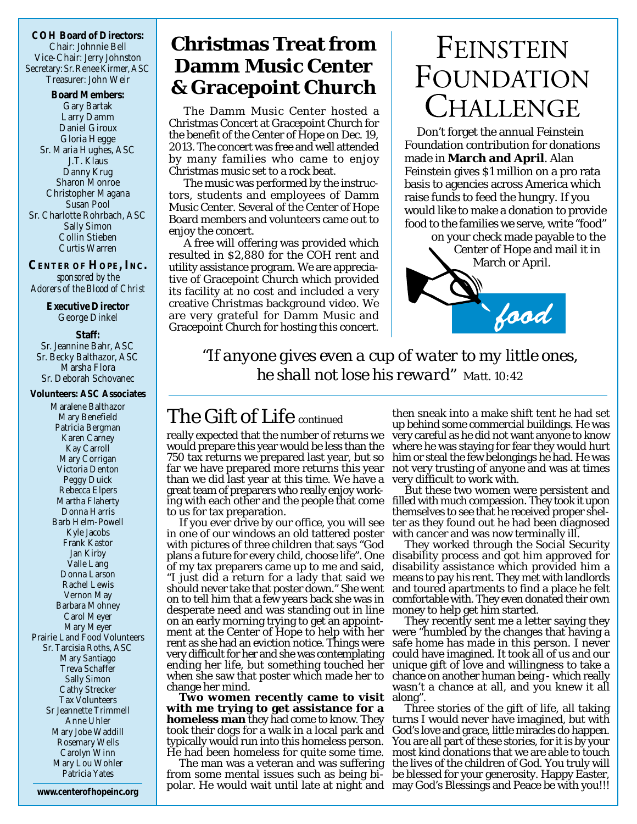**COH Board of Directors:** Chair: Johnnie Bell Vice-Chair: Jerry Johnston Secretary: Sr.Renee Kirmer, ASC Treasurer: John Weir

**Board Members:** Gary Bartak Larry Damm Daniel Giroux Gloria Hegge Sr. Maria Hughes, ASC J.T. Klaus Danny Krug Sharon Monroe Christopher Magana Susan Pool Sr. Charlotte Rohrbach, ASC Sally Simon Collin Stieben Curtis Warren

**CENTER OF HOPE, INC.** *sponsored by the Adorers of the Blood of Christ*

> **Executive Director** George Dinkel

**Staff:** Sr. Jeannine Bahr, ASC Sr. Becky Balthazor, ASC Marsha Flora Sr. Deborah Schovanec

**Volunteers: ASC Associates** Maralene Balthazor Mary Benefield Patricia Bergman Karen Carney Kay Carroll Mary Corrigan Victoria Denton Peggy Duick Rebecca Elpers Martha Flaherty Donna Harris Barb Helm-Powell Kyle Jacobs Frank Kastor Jan Kirby Valle Lang Donna Larson Rachel Lewis Vernon May Barbara Mohney Carol Meyer Mary Meyer Prairie Land Food Volunteers Sr. Tarcisia Roths, ASC Mary Santiago Treva Schaffer Sally Simon Cathy Strecker Tax Volunteers Sr Jeannette Trimmell Anne Uhler Mary Jobe Waddill Rosemary Wells Carolyn Winn Mary Lou Wohler Patricia Yates

### **Christmas Treat from Damm Music Center & Gracepoint Church**

The Damm Music Center hosted a Christmas Concert at Gracepoint Church for the benefit of the Center of Hope on Dec. 19, 2013. The concert was free and well attended by many families who came to enjoy Christmas music set to a rock beat.

The music was performed by the instructors, students and employees of Damm Music Center. Several of the Center of Hope Board members and volunteers came out to enjoy the concert.

A free will offering was provided which resulted in \$2,880 for the COH rent and utility assistance program. We are appreciative of Gracepoint Church which provided its facility at no cost and included a very creative Christmas background video. We are very grateful for Damm Music and Gracepoint Church for hosting this concert.

### FEINSTEIN FOUNDATION CHALLENGE

Don't forget the annual Feinstein Foundation contribution for donations made in **March and April**. Alan Feinstein gives \$1 million on a pro rata basis to agencies across America which raise funds to feed the hungry. If you would like to make a donation to provide food to the families we serve, write "food"

on your check made payable to the Center of Hope and mail it in March or April.



*"If anyone gives even a cup of water to my little ones, he shall not lose his reward" Matt. 10:42*

really expected that the number of returns we would prepare this year would be less than the 750 tax returns we prepared last year, but so far we have prepared more returns this year than we did last year at this time. We have a great team of preparers who really enjoy workto us for tax preparation.

If you ever drive by our office, you will see in one of our windows an old tattered poster with pictures of three children that says "God plans a future for every child, choose life". One of my tax preparers came up to me and said, "I just did a return for a lady that said we should never take that poster down." She went on to tell him that a few years back she was in desperate need and was standing out in line money to help get him started. on an early morning trying to get an appointment at the Center of Hope to help with her rent as she had an eviction notice. Things were very difficult for her and she was contemplating ending her life, but something touched her when she saw that poster which made her to change her mind.

**Two women recently came to visit** along". **with me trying to get assistance for a homeless man** they had come to know. They took their dogs for a walk in a local park and typically would run into this homeless person. He had been homeless for quite some time.

The man was a veteran and was suffering from some mental issues such as being bi-

The Gift of Life *continued* then sneak into a make shift tent he had set up behind some commercial buildings. He was very careful as he did not want anyone to know where he was staying for fear they would hurt him or steal the few belongings he had. He was not very trusting of anyone and was at times very difficult to work with.

ing with each other and the people that come filled with much compassion. They took it upon But these two women were persistent and themselves to see that he received proper shelter as they found out he had been diagnosed with cancer and was now terminally ill.

They worked through the Social Security disability process and got him approved for disability assistance which provided him a means to pay his rent. They met with landlords and toured apartments to find a place he felt comfortable with. They even donated their own

They recently sent me a letter saying they were "humbled by the changes that having a safe home has made in this person. I never could have imagined. It took all of us and our unique gift of love and willingness to take a chance on another human being - which really wasn't a chance at all, and you knew it all

polar. He would wait until late at night and may God's Blessings and Peace be with you!!! **www.centerofhopeinc.org** Three stories of the gift of life, all taking turns I would never have imagined, but with God's love and grace, little miracles do happen. You are all part of these stories, for it is by your most kind donations that we are able to touch the lives of the children of God. You truly will be blessed for your generosity. Happy Easter,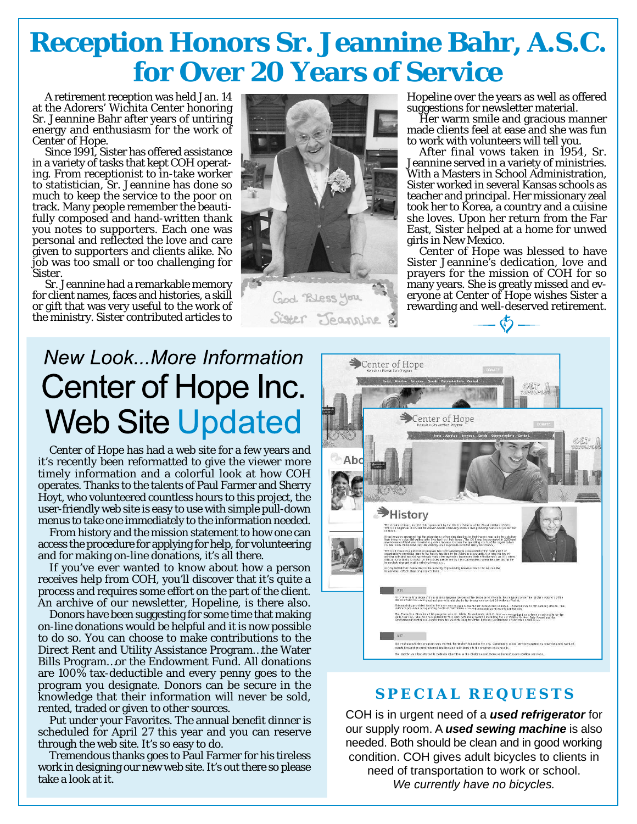### **Reception Honors Sr. Jeannine Bahr, A.S.C. for Over 20 Years of Service**

A retirement reception was held Jan. 14 at the Adorers' Wichita Center honoring Sr. Jeannine Bahr after years of untiring energy and enthusiasm for the work of Center of Hope.

Since 1991, Sister has offered assistance in a variety of tasks that kept COH operating. From receptionist to in-take worker to statistician, Sr. Jeannine has done so much to keep the service to the poor on track. Many people remember the beautifully composed and hand-written thank you notes to supporters. Each one was personal and reflected the love and care given to supporters and clients alike. No job was too small or too challenging for Sister.

Sr. Jeannine had a remarkable memory for client names, faces and histories, a skill or gift that was very useful to the work of the ministry. Sister contributed articles to



God Bless you Sister Jeannine Hopeline over the years as well as offered suggestions for newsletter material.

Her warm smile and gracious manner made clients feel at ease and she was fun to work with volunteers will tell you.

After final vows taken in 1954, Sr. Jeannine served in a variety of ministries. With a Masters in School Administration, Sister worked in several Kansas schools as teacher and principal. Her missionary zeal took her to Korea, a country and a cuisine she loves. Upon her return from the Far East, Sister helped at a home for unwed girls in New Mexico.

Center of Hope was blessed to have Sister Jeannine's dedication, love and prayers for the mission of COH for so many years. She is greatly missed and everyone at Center of Hope wishes Sister a rewarding and well-deserved retirement.

### **New Look...More Information** Center of Hope Inc. **Web Site Updated**

Center of Hope has had a web site for a few years and it's recently been reformatted to give the viewer more timely information and a colorful look at how COH operates. Thanks to the talents of Paul Farmer and Sherry Hoyt, who volunteered countless hours to this project, the user-friendly web site is easy to use with simple pull-down menus to take one immediately to the information needed.

From history and the mission statement to how one can access the procedure for applying for help, for volunteering and for making on-line donations, it's all there.

If you've ever wanted to know about how a person receives help from COH, you'll discover that it's quite a process and requires some effort on the part of the client. An archive of our newsletter, Hopeline, is there also.

Donors have been suggesting for some time that making on-line donations would be helpful and it is now possible to do so. You can choose to make contributions to the Direct Rent and Utility Assistance Program…the Water Bills Program…or the Endowment Fund. All donations are 100% tax-deductible and every penny goes to the program you designate. Donors can be secure in the knowledge that their information will never be sold, rented, traded or given to other sources.

Put under your Favorites. The annual benefit dinner is scheduled for April 27 this year and you can reserve through the web site. It's so easy to do.

Tremendous thanks goes to Paul Farmer for his tireless work in designing our new web site. It's out there so please take a look at it.



#### **SPECIAL REQUESTS**

COH is in urgent need of a *used refrigerator* for our supply room. A *used sewing machine* is also needed. Both should be clean and in good working condition. COH gives adult bicycles to clients in need of transportation to work or school. *We currently have no bicycles.*